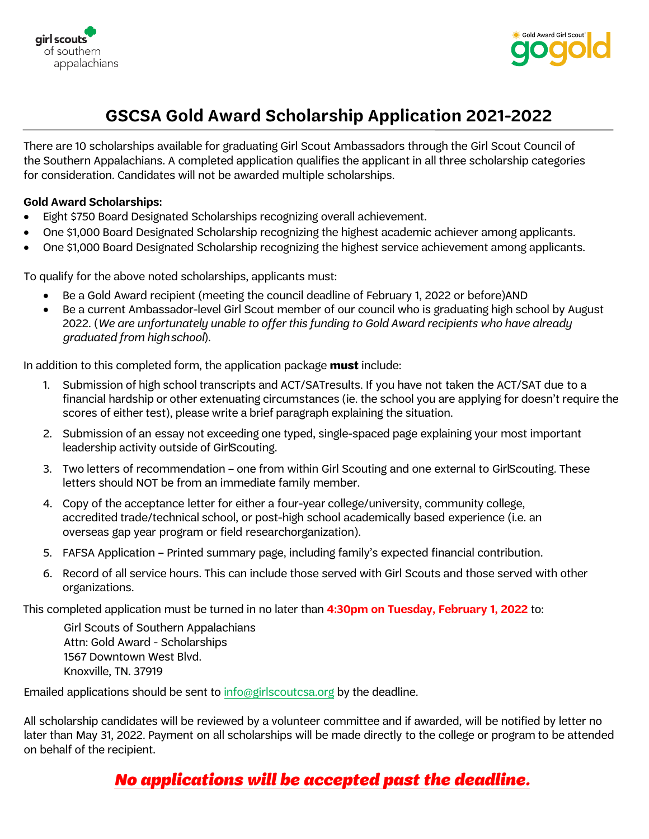



# **GSCSA Gold Award Scholarship Application 2021-2022**

There are 10 scholarships available for graduating Girl Scout Ambassadors through the Girl Scout Council of the Southern Appalachians. A completed application qualifies the applicant in all three scholarship categories for consideration. Candidates will not be awarded multiple scholarships.

#### **Gold Award Scholarships:**

- Eight \$750 Board Designated Scholarships recognizing overall achievement.
- One \$1,000 Board Designated Scholarship recognizing the highest academic achiever among applicants.
- One \$1,000 Board Designated Scholarship recognizing the highest service achievement among applicants.

To qualify for the above noted scholarships, applicants must:

- Be a Gold Award recipient (meeting the council deadline of February 1, 2022 or before)AND
- Be a current Ambassador-level Girl Scout member of our council who is graduating high school by August 2022. (We are unfortunately unable to offer this funding to Gold Award recipients who have already graduated from highschool).

In addition to this completed form, the application package **must** include:

- 1. Submission of high school transcripts and ACT/SATresults. If you have not taken the ACT/SAT due to a financial hardship or other extenuating circumstances (ie. the school you are applying for doesn't require the scores of either test), please write a brief paragraph explaining the situation.
- 2. Submission of an essay not exceeding one typed, single-spaced page explaining your most important leadership activity outside of GirlScouting.
- 3. Two letters of recommendation one from within Girl Scouting and one external to GirlScouting. These letters should NOT be from an immediate family member.
- 4. Copy of the acceptance letter for either a four-year college/university, community college, accredited trade/technical school, or post-high school academically based experience (i.e. an overseas gap year program or field researchorganization).
- 5. FAFSA Application Printed summary page, including family's expected financial contribution.
- 6. Record of all service hours. This can include those served with Girl Scouts and those served with other organizations.

This completed application must be turned in no later than **4:30pm on Tuesday, February 1, 2022** to:

Girl Scouts of Southern Appalachians Attn: Gold Award - Scholarships 1567 Downtown West Blvd. Knoxville, TN. 37919

Emailed applications should be sent to [info@girlscoutcsa.org](mailto:info@girlscoutcsa.org) by the deadline.

All scholarship candidates will be reviewed by a volunteer committee and if awarded, will be notified by letter no later than May 31, 2022. Payment on all scholarships will be made directly to the college or program to be attended on behalf of the recipient.

## No applications will be accepted past the deadline.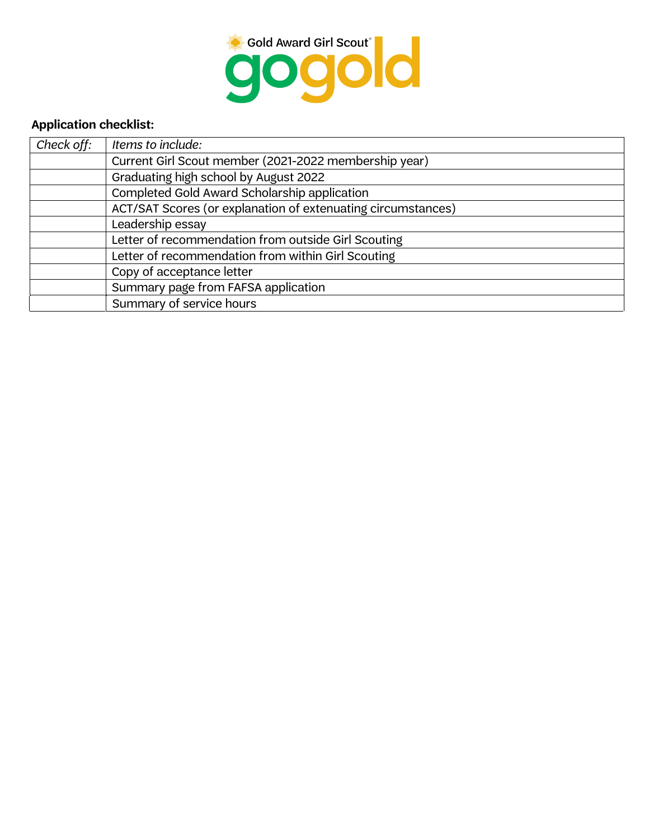

### **Application checklist:**

| Check off: | Items to include:                                            |  |  |
|------------|--------------------------------------------------------------|--|--|
|            | Current Girl Scout member (2021-2022 membership year)        |  |  |
|            | Graduating high school by August 2022                        |  |  |
|            | Completed Gold Award Scholarship application                 |  |  |
|            | ACT/SAT Scores (or explanation of extenuating circumstances) |  |  |
|            | Leadership essay                                             |  |  |
|            | Letter of recommendation from outside Girl Scouting          |  |  |
|            | Letter of recommendation from within Girl Scouting           |  |  |
|            | Copy of acceptance letter                                    |  |  |
|            | Summary page from FAFSA application                          |  |  |
|            | Summary of service hours                                     |  |  |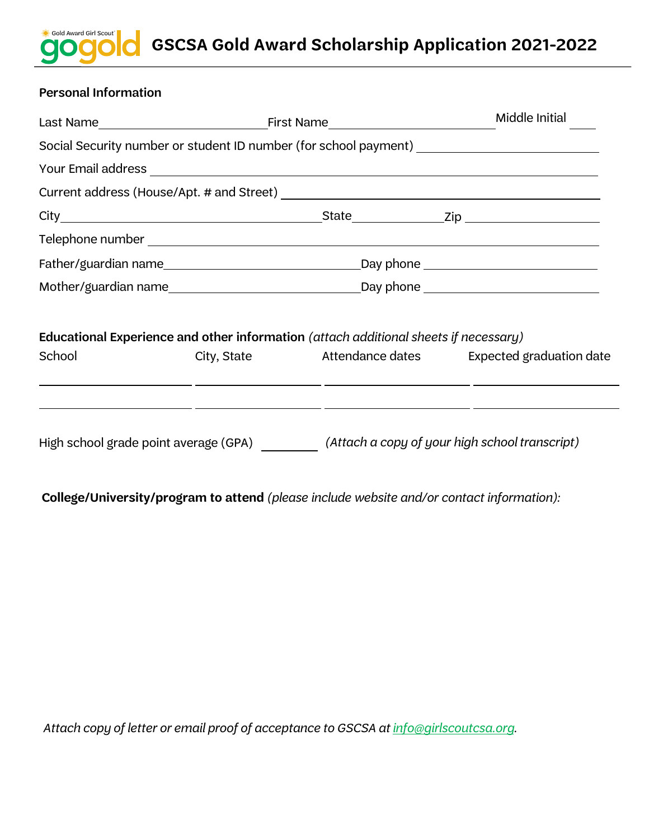### Gold Award Girl Scout<sup>\*</sup> **GSCSA Gold Award Scholarship Application 2021-2022**

### Personal Information

|                                                                                      |                      |  | Middle Initial                                                                          |  |
|--------------------------------------------------------------------------------------|----------------------|--|-----------------------------------------------------------------------------------------|--|
|                                                                                      |                      |  | Social Security number or student ID number (for school payment) ______________________ |  |
|                                                                                      |                      |  |                                                                                         |  |
|                                                                                      |                      |  |                                                                                         |  |
|                                                                                      |                      |  |                                                                                         |  |
|                                                                                      |                      |  |                                                                                         |  |
|                                                                                      |                      |  |                                                                                         |  |
|                                                                                      | Mother/guardian name |  |                                                                                         |  |
| Educational Experience and other information (attach additional sheets if necessary) |                      |  |                                                                                         |  |
| School                                                                               |                      |  | City, State <b>Attendance dates</b> Expected graduation date                            |  |
|                                                                                      |                      |  |                                                                                         |  |
|                                                                                      |                      |  | High school grade point average (GPA) (Attach a copy of your high school transcript)    |  |

**College/University/program to attend** (please include website and/or contact information):

Attach copy of letter or email proof of acceptance to GSCSA at info@girlscoutcsa.org.